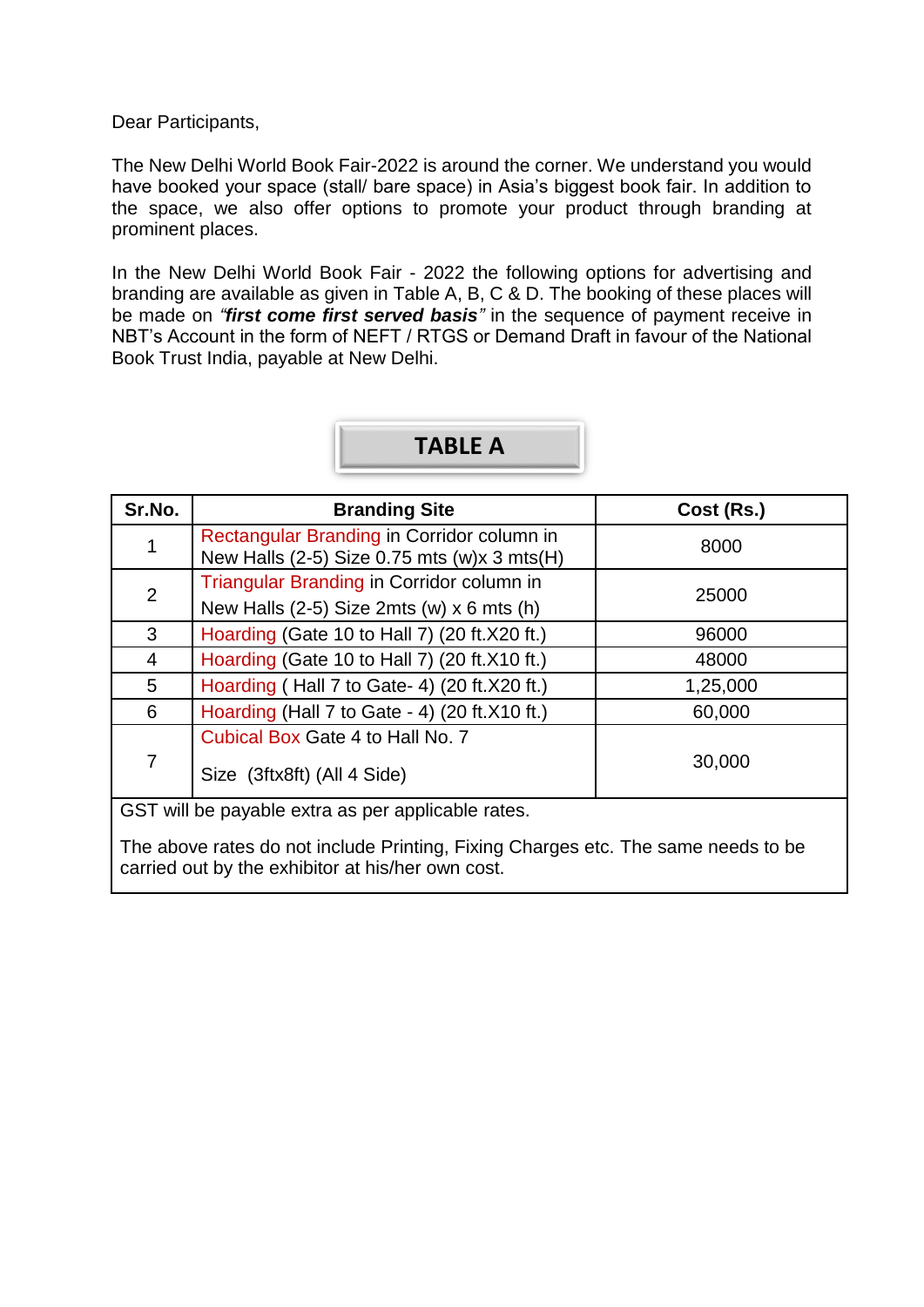Dear Participants,

The New Delhi World Book Fair-2022 is around the corner. We understand you would have booked your space (stall/ bare space) in Asia's biggest book fair. In addition to the space, we also offer options to promote your product through branding at prominent places.

In the New Delhi World Book Fair - 2022 the following options for advertising and branding are available as given in Table A, B, C & D. The booking of these places will be made on *"first come first served basis"* in the sequence of payment receive in NBT's Account in the form of NEFT / RTGS or Demand Draft in favour of the National Book Trust India, payable at New Delhi.

# **TABLE A**

| Sr.No.         | <b>Branding Site</b>                                                                      | Cost (Rs.) |  |
|----------------|-------------------------------------------------------------------------------------------|------------|--|
| 1              | Rectangular Branding in Corridor column in<br>New Halls (2-5) Size 0.75 mts (w)x 3 mts(H) | 8000       |  |
| 2              | Triangular Branding in Corridor column in<br>New Halls (2-5) Size 2mts (w) x 6 mts (h)    | 25000      |  |
| 3              | Hoarding (Gate 10 to Hall 7) (20 ft.X20 ft.)                                              | 96000      |  |
| 4              | Hoarding (Gate 10 to Hall 7) (20 ft. X10 ft.)                                             | 48000      |  |
| 5              | Hoarding (Hall 7 to Gate- 4) (20 ft.X20 ft.)                                              | 1,25,000   |  |
| 6              | Hoarding (Hall 7 to Gate - 4) (20 ft.X10 ft.)                                             | 60,000     |  |
| $\overline{7}$ | Cubical Box Gate 4 to Hall No. 7<br>Size (3ftx8ft) (All 4 Side)                           | 30,000     |  |
|                | GST will be payable extra as per applicable rates.                                        |            |  |

The above rates do not include Printing, Fixing Charges etc. The same needs to be carried out by the exhibitor at his/her own cost.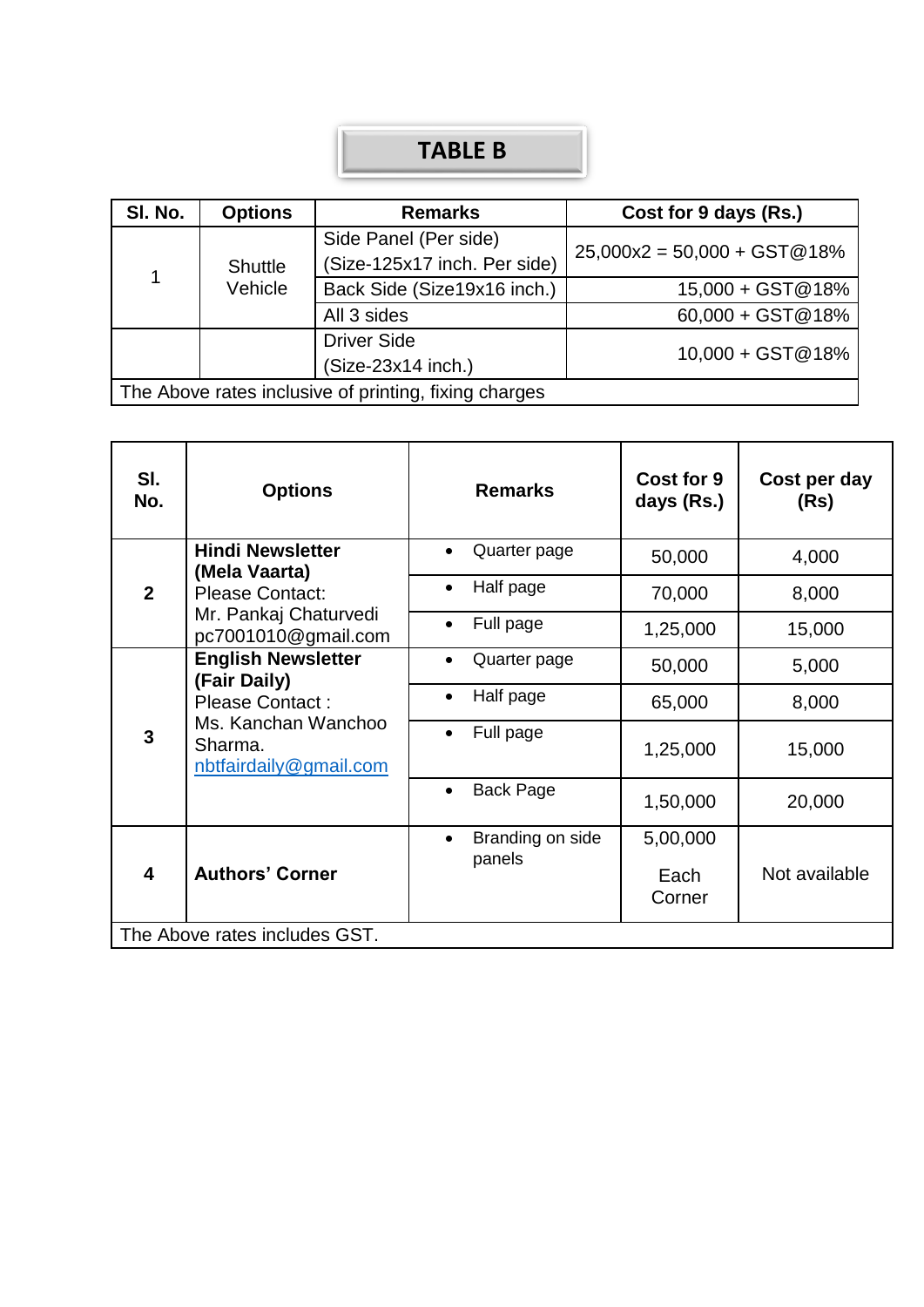## **TABLE B**

| SI. No. | <b>Options</b>            | <b>Remarks</b>                                        | Cost for 9 days (Rs.)         |  |
|---------|---------------------------|-------------------------------------------------------|-------------------------------|--|
| 1       | <b>Shuttle</b><br>Vehicle | Side Panel (Per side)                                 | $25,000x2 = 50,000 + GST@18%$ |  |
|         |                           | (Size-125x17 inch. Per side)                          |                               |  |
|         |                           | Back Side (Size19x16 inch.)                           | 15,000 + GST@18%              |  |
|         |                           | All 3 sides                                           | $60,000 + GST@18%$            |  |
|         | <b>Driver Side</b>        |                                                       | 10,000 + GST@18%              |  |
|         |                           | (Size-23x14 inch.)                                    |                               |  |
|         |                           | The Above rates inclusive of printing, fixing charges |                               |  |

| SI.<br>No.                    | <b>Options</b>                                                                                                           | <b>Remarks</b>                | Cost for 9<br>days (Rs.) | Cost per day<br>(Rs) |
|-------------------------------|--------------------------------------------------------------------------------------------------------------------------|-------------------------------|--------------------------|----------------------|
|                               | <b>Hindi Newsletter</b><br>(Mela Vaarta)                                                                                 | Quarter page                  | 50,000                   | 4,000                |
| $\overline{2}$                | <b>Please Contact:</b>                                                                                                   | Half page<br>$\bullet$        | 70,000                   | 8,000                |
|                               | Mr. Pankaj Chaturvedi<br>pc7001010@gmail.com                                                                             | Full page<br>$\bullet$        | 1,25,000                 | 15,000               |
| 3                             | <b>English Newsletter</b><br>(Fair Daily)<br>Please Contact:<br>Ms. Kanchan Wanchoo<br>Sharma.<br>nbtfairdaily@gmail.com | Quarter page<br>$\bullet$     | 50,000                   | 5,000                |
|                               |                                                                                                                          | Half page<br>$\bullet$        | 65,000                   | 8,000                |
|                               |                                                                                                                          | Full page<br>$\bullet$        | 1,25,000                 | 15,000               |
|                               |                                                                                                                          | <b>Back Page</b><br>$\bullet$ | 1,50,000                 | 20,000               |
| 4                             |                                                                                                                          | Branding on side<br>$\bullet$ | 5,00,000                 |                      |
|                               | <b>Authors' Corner</b>                                                                                                   | panels                        | Each<br>Corner           | Not available        |
| The Above rates includes GST. |                                                                                                                          |                               |                          |                      |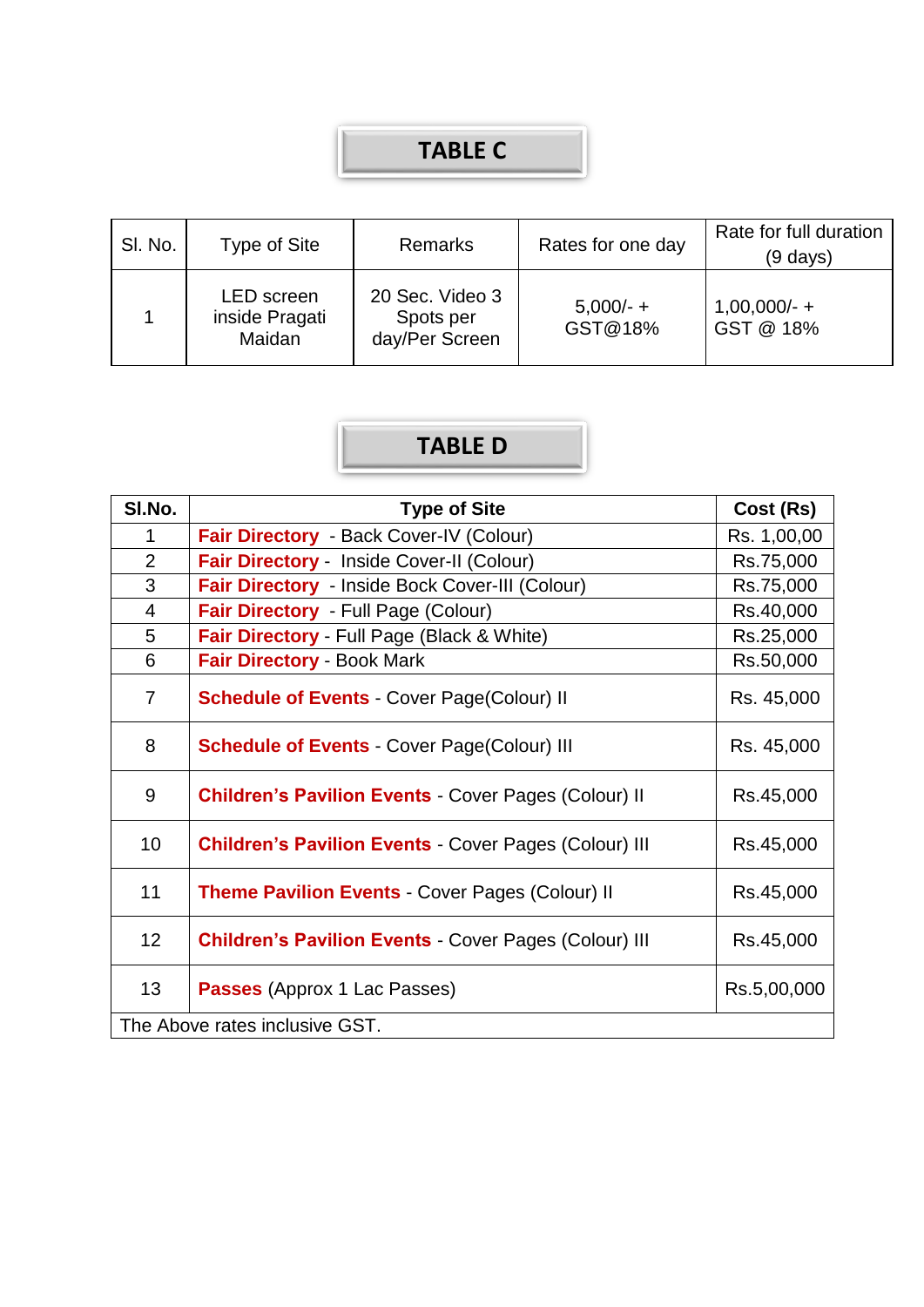### **TABLE C**

| SI. No. | Type of Site                                  | <b>Remarks</b>                                 | Rates for one day      | Rate for full duration<br>(9 days) |
|---------|-----------------------------------------------|------------------------------------------------|------------------------|------------------------------------|
|         | <b>LED</b> screen<br>inside Pragati<br>Maidan | 20 Sec. Video 3<br>Spots per<br>day/Per Screen | $5,000/- +$<br>GST@18% | $1,00,000/- +$<br>GST @ 18%        |

# **TABLE D**

| SI.No.         | <b>Type of Site</b>                                          | Cost (Rs)   |
|----------------|--------------------------------------------------------------|-------------|
| 1              | Fair Directory - Back Cover-IV (Colour)                      | Rs. 1,00,00 |
| $\overline{2}$ | Fair Directory - Inside Cover-II (Colour)                    | Rs.75,000   |
| 3              | Fair Directory - Inside Bock Cover-III (Colour)              | Rs.75,000   |
| $\overline{4}$ | Fair Directory - Full Page (Colour)                          | Rs.40,000   |
| 5              | Fair Directory - Full Page (Black & White)                   | Rs.25,000   |
| 6              | <b>Fair Directory - Book Mark</b>                            | Rs.50,000   |
| $\overline{7}$ | <b>Schedule of Events - Cover Page(Colour) II</b>            | Rs. 45,000  |
| 8              | <b>Schedule of Events - Cover Page(Colour) III</b>           | Rs. 45,000  |
| 9              | <b>Children's Pavilion Events - Cover Pages (Colour) II</b>  | Rs.45,000   |
| 10             | <b>Children's Pavilion Events - Cover Pages (Colour) III</b> | Rs.45,000   |
| 11             | Theme Pavilion Events - Cover Pages (Colour) II              | Rs.45,000   |
| 12             | <b>Children's Pavilion Events - Cover Pages (Colour) III</b> | Rs.45,000   |
| 13             | <b>Passes</b> (Approx 1 Lac Passes)                          | Rs.5,00,000 |
|                | The Above rates inclusive GST.                               |             |